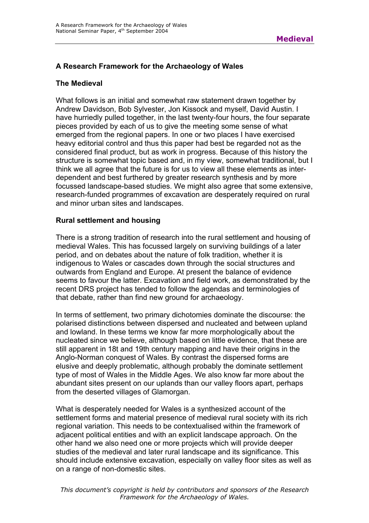### **A Research Framework for the Archaeology of Wales**

### **The Medieval**

What follows is an initial and somewhat raw statement drawn together by Andrew Davidson, Bob Sylvester, Jon Kissock and myself, David Austin. I have hurriedly pulled together, in the last twenty-four hours, the four separate pieces provided by each of us to give the meeting some sense of what emerged from the regional papers. In one or two places I have exercised heavy editorial control and thus this paper had best be regarded not as the considered final product, but as work in progress. Because of this history the structure is somewhat topic based and, in my view, somewhat traditional, but I think we all agree that the future is for us to view all these elements as interdependent and best furthered by greater research synthesis and by more focussed landscape-based studies. We might also agree that some extensive, research-funded programmes of excavation are desperately required on rural and minor urban sites and landscapes.

### **Rural settlement and housing**

There is a strong tradition of research into the rural settlement and housing of medieval Wales. This has focussed largely on surviving buildings of a later period, and on debates about the nature of folk tradition, whether it is indigenous to Wales or cascades down through the social structures and outwards from England and Europe. At present the balance of evidence seems to favour the latter. Excavation and field work, as demonstrated by the recent DRS project has tended to follow the agendas and terminologies of that debate, rather than find new ground for archaeology.

In terms of settlement, two primary dichotomies dominate the discourse: the polarised distinctions between dispersed and nucleated and between upland and lowland. In these terms we know far more morphologically about the nucleated since we believe, although based on little evidence, that these are still apparent in 18t and 19th century mapping and have their origins in the Anglo-Norman conquest of Wales. By contrast the dispersed forms are elusive and deeply problematic, although probably the dominate settlement type of most of Wales in the Middle Ages. We also know far more about the abundant sites present on our uplands than our valley floors apart, perhaps from the deserted villages of Glamorgan.

What is desperately needed for Wales is a synthesized account of the settlement forms and material presence of medieval rural society with its rich regional variation. This needs to be contextualised within the framework of adjacent political entities and with an explicit landscape approach. On the other hand we also need one or more projects which will provide deeper studies of the medieval and later rural landscape and its significance. This should include extensive excavation, especially on valley floor sites as well as on a range of non-domestic sites.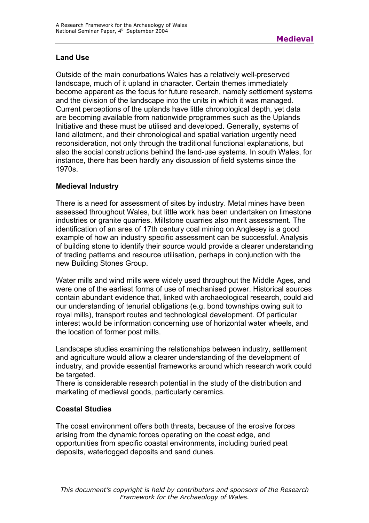### **Land Use**

Outside of the main conurbations Wales has a relatively well-preserved landscape, much of it upland in character. Certain themes immediately become apparent as the focus for future research, namely settlement systems and the division of the landscape into the units in which it was managed. Current perceptions of the uplands have little chronological depth, yet data are becoming available from nationwide programmes such as the Uplands Initiative and these must be utilised and developed. Generally, systems of land allotment, and their chronological and spatial variation urgently need reconsideration, not only through the traditional functional explanations, but also the social constructions behind the land-use systems. In south Wales, for instance, there has been hardly any discussion of field systems since the 1970s.

### **Medieval Industry**

There is a need for assessment of sites by industry. Metal mines have been assessed throughout Wales, but little work has been undertaken on limestone industries or granite quarries. Millstone quarries also merit assessment. The identification of an area of 17th century coal mining on Anglesey is a good example of how an industry specific assessment can be successful. Analysis of building stone to identify their source would provide a clearer understanding of trading patterns and resource utilisation, perhaps in conjunction with the new Building Stones Group.

Water mills and wind mills were widely used throughout the Middle Ages, and were one of the earliest forms of use of mechanised power. Historical sources contain abundant evidence that, linked with archaeological research, could aid our understanding of tenurial obligations (e.g. bond townships owing suit to royal mills), transport routes and technological development. Of particular interest would be information concerning use of horizontal water wheels, and the location of former post mills.

Landscape studies examining the relationships between industry, settlement and agriculture would allow a clearer understanding of the development of industry, and provide essential frameworks around which research work could be targeted.

There is considerable research potential in the study of the distribution and marketing of medieval goods, particularly ceramics.

## **Coastal Studies**

The coast environment offers both threats, because of the erosive forces arising from the dynamic forces operating on the coast edge, and opportunities from specific coastal environments, including buried peat deposits, waterlogged deposits and sand dunes.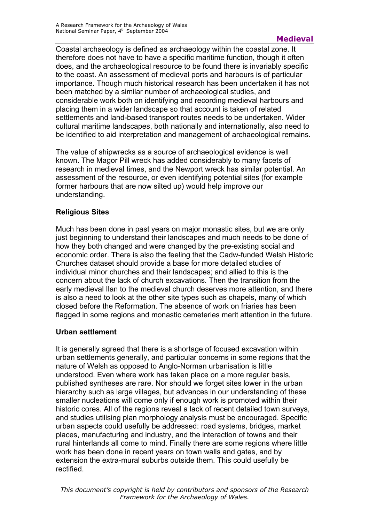Coastal archaeology is defined as archaeology within the coastal zone. It therefore does not have to have a specific maritime function, though it often does, and the archaeological resource to be found there is invariably specific to the coast. An assessment of medieval ports and harbours is of particular importance. Though much historical research has been undertaken it has not been matched by a similar number of archaeological studies, and considerable work both on identifying and recording medieval harbours and placing them in a wider landscape so that account is taken of related settlements and land-based transport routes needs to be undertaken. Wider cultural maritime landscapes, both nationally and internationally, also need to be identified to aid interpretation and management of archaeological remains.

The value of shipwrecks as a source of archaeological evidence is well known. The Magor Pill wreck has added considerably to many facets of research in medieval times, and the Newport wreck has similar potential. An assessment of the resource, or even identifying potential sites (for example former harbours that are now silted up) would help improve our understanding.

# **Religious Sites**

Much has been done in past years on major monastic sites, but we are only just beginning to understand their landscapes and much needs to be done of how they both changed and were changed by the pre-existing social and economic order. There is also the feeling that the Cadw-funded Welsh Historic Churches dataset should provide a base for more detailed studies of individual minor churches and their landscapes; and allied to this is the concern about the lack of church excavations. Then the transition from the early medieval Ilan to the medieval church deserves more attention, and there is also a need to look at the other site types such as chapels, many of which closed before the Reformation. The absence of work on friaries has been flagged in some regions and monastic cemeteries merit attention in the future.

## **Urban settlement**

It is generally agreed that there is a shortage of focused excavation within urban settlements generally, and particular concerns in some regions that the nature of Welsh as opposed to Anglo-Norman urbanisation is little understood. Even where work has taken place on a more regular basis, published syntheses are rare. Nor should we forget sites lower in the urban hierarchy such as large villages, but advances in our understanding of these smaller nucleations will come only if enough work is promoted within their historic cores. All of the regions reveal a lack of recent detailed town surveys, and studies utilising plan morphology analysis must be encouraged. Specific urban aspects could usefully be addressed: road systems, bridges, market places, manufacturing and industry, and the interaction of towns and their rural hinterlands all come to mind. Finally there are some regions where little work has been done in recent years on town walls and gates, and by extension the extra-mural suburbs outside them. This could usefully be rectified.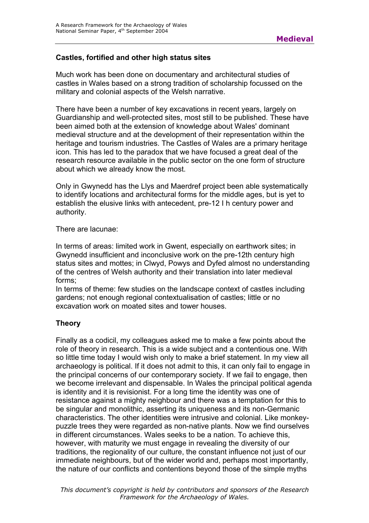### **Castles, fortified and other high status sites**

Much work has been done on documentary and architectural studies of castles in Wales based on a strong tradition of scholarship focussed on the military and colonial aspects of the Welsh narrative.

There have been a number of key excavations in recent years, largely on Guardianship and well-protected sites, most still to be published. These have been aimed both at the extension of knowledge about Wales' dominant medieval structure and at the development of their representation within the heritage and tourism industries. The Castles of Wales are a primary heritage icon. This has led to the paradox that we have focused a great deal of the research resource available in the public sector on the one form of structure about which we already know the most.

Only in Gwynedd has the Llys and Maerdref project been able systematically to identify locations and architectural forms for the middle ages, but is yet to establish the elusive links with antecedent, pre-12 I h century power and authority.

There are lacunae:

In terms of areas: limited work in Gwent, especially on earthwork sites; in Gwynedd insufficient and inconclusive work on the pre-12th century high status sites and mottes; in Clwyd, Powys and Dyfed almost no understanding of the centres of Welsh authority and their translation into later medieval forms;

In terms of theme: few studies on the landscape context of castles including gardens; not enough regional contextualisation of castles; little or no excavation work on moated sites and tower houses.

## **Theory**

Finally as a codicil, my colleagues asked me to make a few points about the role of theory in research. This is a wide subject and a contentious one. With so little time today I would wish only to make a brief statement. In my view all archaeology is political. If it does not admit to this, it can only fail to engage in the principal concerns of our contemporary society. If we fail to engage, then we become irrelevant and dispensable. In Wales the principal political agenda is identity and it is revisionist. For a long time the identity was one of resistance against a mighty neighbour and there was a temptation for this to be singular and monolithic, asserting its uniqueness and its non-Germanic characteristics. The other identities were intrusive and colonial. Like monkeypuzzle trees they were regarded as non-native plants. Now we find ourselves in different circumstances. Wales seeks to be a nation. To achieve this, however, with maturity we must engage in revealing the diversity of our traditions, the regionality of our culture, the constant influence not just of our immediate neighbours, but of the wider world and, perhaps most importantly, the nature of our conflicts and contentions beyond those of the simple myths